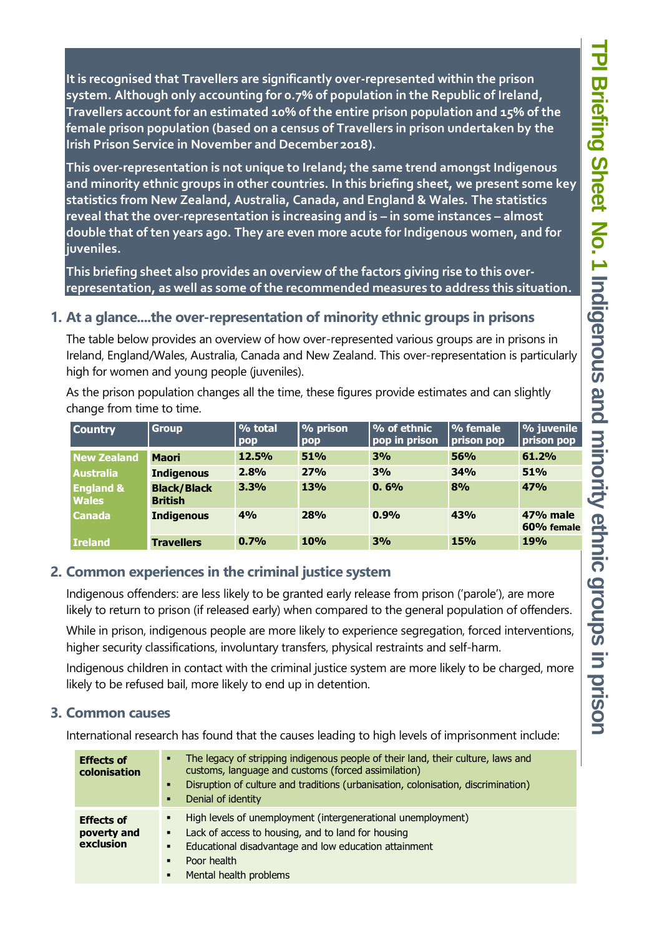**It is recognised that Travellers are significantly over-represented within the prison system. Although only accounting for 0.7% of population in the Republic of Ireland, Travellers account for an estimated 10% of the entire prison population and 15% of the female prison population (based on a census of Travellers in prison undertaken by the Irish Prison Service in November and December 2018).** 

**This over-representation is not unique to Ireland; the same trend amongst Indigenous and minority ethnic groups in other countries. In this briefing sheet, we present some key statistics from New Zealand, Australia, Canada, and England & Wales. The statistics reveal that the over-representation is increasing and is – in some instances – almost double that of ten years ago. They are even more acute for Indigenous women, and for juveniles.** 

**This briefing sheet also provides an overview of the factors giving rise to this overrepresentation, as well as some of the recommended measures to address this situation.**

### **1. At a glance....the over-representation of minority ethnic groups in prisons**

The table below provides an overview of how over-represented various groups are in prisons in Ireland, England/Wales, Australia, Canada and New Zealand. This over-representation is particularly high for women and young people (juveniles).

As the prison population changes all the time, these figures provide estimates and can slightly change from time to time.

| <b>Country</b>                       | <b>Group</b>                         | % total<br>pop | % prison<br>  pop | $\sqrt{2}$ of ethnic<br>pop in prison | % female<br>prison pop | % juvenile<br>prison pop |
|--------------------------------------|--------------------------------------|----------------|-------------------|---------------------------------------|------------------------|--------------------------|
| <b>New Zealand</b>                   | <b>Maori</b>                         | 12.5%          | 51%               | 3%                                    | 56%                    | 61.2%                    |
| <b>Australia</b>                     | <b>Indigenous</b>                    | 2.8%           | 27%               | 3%                                    | 34%                    | 51%                      |
| <b>England &amp;</b><br><b>Wales</b> | <b>Black/Black</b><br><b>British</b> | 3.3%           | <b>13%</b>        | 0.6%                                  | 8%                     | 47%                      |
| <b>Canada</b>                        | <b>Indigenous</b>                    | 4%             | <b>28%</b>        | 0.9%                                  | 43%                    | 47% male<br>60% female   |
| <b>Ireland</b>                       | <b>Travellers</b>                    | 0.7%           | 10%               | 3%                                    | <b>15%</b>             | <b>19%</b>               |

## **2. Common experiences in the criminal justice system**

Indigenous offenders: are less likely to be granted early release from prison ('parole'), are more likely to return to prison (if released early) when compared to the general population of offenders.

While in prison, indigenous people are more likely to experience segregation, forced interventions, higher security classifications, involuntary transfers, physical restraints and self-harm.

Indigenous children in contact with the criminal justice system are more likely to be charged, more likely to be refused bail, more likely to end up in detention.

#### **3. Common causes**

International research has found that the causes leading to high levels of imprisonment include:

| <b>Effects of</b><br>colonisation             | The legacy of stripping indigenous people of their land, their culture, laws and<br>٠<br>customs, language and customs (forced assimilation)<br>Disruption of culture and traditions (urbanisation, colonisation, discrimination)<br>٠<br>Denial of identity<br>٠ |
|-----------------------------------------------|-------------------------------------------------------------------------------------------------------------------------------------------------------------------------------------------------------------------------------------------------------------------|
| <b>Effects of</b><br>poverty and<br>exclusion | High levels of unemployment (intergenerational unemployment)<br>٠<br>Lack of access to housing, and to land for housing<br>к.<br>Educational disadvantage and low education attainment<br>٠<br>Poor health<br>٠<br>Mental health problems<br>٠                    |